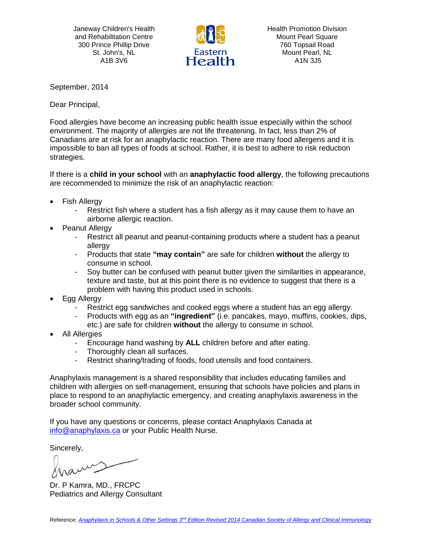Janeway Children's Health and Rehabilitation Centre 300 Prince Phillip Drive St. John's, NL A1B 3V6



Health Promotion Division Mount Pearl Square 760 Topsail Road Mount Pearl, NL A1N 3J5

September, 2014

Dear Principal,

Food allergies have become an increasing public health issue especially within the school environment. The majority of allergies are not life threatening. In fact, less than 2% of Canadians are at risk for an anaphylactic reaction. There are many food allergens and it is impossible to ban all types of foods at school. Rather, it is best to adhere to risk reduction strategies.

If there is a **child in your school** with an **anaphylactic food allergy**, the following precautions are recommended to minimize the risk of an anaphylactic reaction:

- Fish Allergy
	- Restrict fish where a student has a fish allergy as it may cause them to have an airborne allergic reaction.
- Peanut Allergy
	- Restrict all peanut and peanut-containing products where a student has a peanut allergy
	- Products that state **"may contain"** are safe for children **without** the allergy to consume in school.
	- Soy butter can be confused with peanut butter given the similarities in appearance, texture and taste, but at this point there is no evidence to suggest that there is a problem with having this product used in schools.
- Egg Allergy
	- Restrict egg sandwiches and cooked eggs where a student has an egg allergy.
	- Products with egg as an **"ingredient"** (i.e. pancakes, mayo, muffins, cookies, dips, etc.) are safe for children **without** the allergy to consume in school.
- All Allergies
	- Encourage hand washing by **ALL** children before and after eating.
	- Thoroughly clean all surfaces.
	- Restrict sharing/trading of foods, food utensils and food containers.

Anaphylaxis management is a shared responsibility that includes educating families and children with allergies on self-management, ensuring that schools have policies and plans in place to respond to an anaphylactic emergency, and creating anaphylaxis awareness in the broader school community.

If you have any questions or concerns, please contact Anaphylaxis Canada at [info@anaphylaxis.ca](mailto:info@anaphylaxis.ca) or your Public Health Nurse.

Sincerely,

aur.

Dr. P Kamra, MD., FRCPC Pediatrics and Allergy Consultant